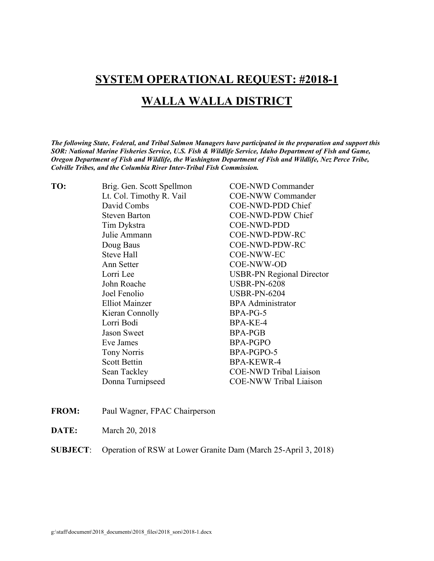## **SYSTEM OPERATIONAL REQUEST: #2018-1**

# **WALLA WALLA DISTRICT**

*The following State, Federal, and Tribal Salmon Managers have participated in the preparation and support this SOR: National Marine Fisheries Service, U.S. Fish & Wildlife Service, Idaho Department of Fish and Game, Oregon Department of Fish and Wildlife, the Washington Department of Fish and Wildlife, Nez Perce Tribe, Colville Tribes, and the Columbia River Inter-Tribal Fish Commission.* 

| TO: | Brig. Gen. Scott Spellmon | <b>COE-NWD Commander</b>         |  |
|-----|---------------------------|----------------------------------|--|
|     | Lt. Col. Timothy R. Vail  | <b>COE-NWW Commander</b>         |  |
|     | David Combs               | COE-NWD-PDD Chief                |  |
|     | <b>Steven Barton</b>      | COE-NWD-PDW Chief                |  |
|     | Tim Dykstra               | COE-NWD-PDD                      |  |
|     | Julie Ammann              | COE-NWD-PDW-RC                   |  |
|     | Doug Baus                 | COE-NWD-PDW-RC                   |  |
|     | Steve Hall                | COE-NWW-EC                       |  |
|     | Ann Setter                | COE-NWW-OD                       |  |
|     | Lorri Lee                 | <b>USBR-PN Regional Director</b> |  |
|     | John Roache               | <b>USBR-PN-6208</b>              |  |
|     | Joel Fenolio              | <b>USBR-PN-6204</b>              |  |
|     | <b>Elliot Mainzer</b>     | <b>BPA</b> Administrator         |  |
|     | Kieran Connolly           | BPA-PG-5                         |  |
|     | Lorri Bodi                | BPA-KE-4                         |  |
|     | <b>Jason Sweet</b>        | <b>BPA-PGB</b>                   |  |
|     | Eve James                 | <b>BPA-PGPO</b>                  |  |
|     | <b>Tony Norris</b>        | BPA-PGPO-5                       |  |
|     | <b>Scott Bettin</b>       | <b>BPA-KEWR-4</b>                |  |
|     | Sean Tackley              | <b>COE-NWD Tribal Liaison</b>    |  |
|     | Donna Turnipseed          | <b>COE-NWW Tribal Liaison</b>    |  |
|     |                           |                                  |  |

- **FROM:** Paul Wagner, FPAC Chairperson
- **DATE:** March 20, 2018

**SUBJECT**: Operation of RSW at Lower Granite Dam (March 25-April 3, 2018)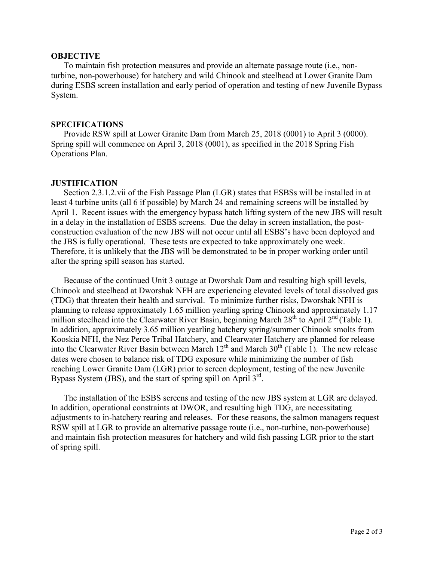### **OBJECTIVE**

To maintain fish protection measures and provide an alternate passage route (i.e., nonturbine, non-powerhouse) for hatchery and wild Chinook and steelhead at Lower Granite Dam during ESBS screen installation and early period of operation and testing of new Juvenile Bypass System.

### **SPECIFICATIONS**

Provide RSW spill at Lower Granite Dam from March 25, 2018 (0001) to April 3 (0000). Spring spill will commence on April 3, 2018 (0001), as specified in the 2018 Spring Fish Operations Plan.

#### **JUSTIFICATION**

Section 2.3.1.2.vii of the Fish Passage Plan (LGR) states that ESBSs will be installed in at least 4 turbine units (all 6 if possible) by March 24 and remaining screens will be installed by April 1. Recent issues with the emergency bypass hatch lifting system of the new JBS will result in a delay in the installation of ESBS screens. Due the delay in screen installation, the postconstruction evaluation of the new JBS will not occur until all ESBS's have been deployed and the JBS is fully operational. These tests are expected to take approximately one week. Therefore, it is unlikely that the JBS will be demonstrated to be in proper working order until after the spring spill season has started.

Because of the continued Unit 3 outage at Dworshak Dam and resulting high spill levels, Chinook and steelhead at Dworshak NFH are experiencing elevated levels of total dissolved gas (TDG) that threaten their health and survival. To minimize further risks, Dworshak NFH is planning to release approximately 1.65 million yearling spring Chinook and approximately 1.17 million steelhead into the Clearwater River Basin, beginning March 28<sup>th</sup> to April 2<sup>nd</sup> (Table 1). In addition, approximately 3.65 million yearling hatchery spring/summer Chinook smolts from Kooskia NFH, the Nez Perce Tribal Hatchery, and Clearwater Hatchery are planned for release into the Clearwater River Basin between March  $12<sup>th</sup>$  and March  $30<sup>th</sup>$  (Table 1). The new release dates were chosen to balance risk of TDG exposure while minimizing the number of fish reaching Lower Granite Dam (LGR) prior to screen deployment, testing of the new Juvenile Bypass System (JBS), and the start of spring spill on April  $3<sup>rd</sup>$ .

The installation of the ESBS screens and testing of the new JBS system at LGR are delayed. In addition, operational constraints at DWOR, and resulting high TDG, are necessitating adjustments to in-hatchery rearing and releases. For these reasons, the salmon managers request RSW spill at LGR to provide an alternative passage route (i.e., non-turbine, non-powerhouse) and maintain fish protection measures for hatchery and wild fish passing LGR prior to the start of spring spill.